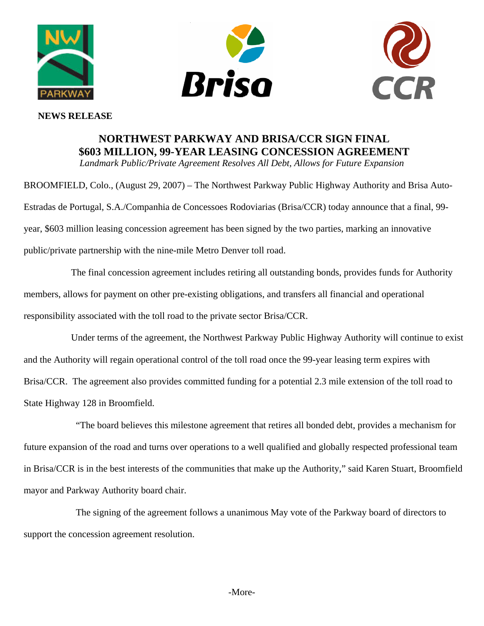



## **NEWS RELEASE**

## **NORTHWEST PARKWAY AND BRISA/CCR SIGN FINAL \$603 MILLION, 99-YEAR LEASING CONCESSION AGREEMENT**

*Landmark Public/Private Agreement Resolves All Debt, Allows for Future Expansion* 

BROOMFIELD, Colo., (August 29, 2007) – The Northwest Parkway Public Highway Authority and Brisa Auto-Estradas de Portugal, S.A./Companhia de Concessoes Rodoviarias (Brisa/CCR) today announce that a final, 99 year, \$603 million leasing concession agreement has been signed by the two parties, marking an innovative public/private partnership with the nine-mile Metro Denver toll road.

 The final concession agreement includes retiring all outstanding bonds, provides funds for Authority members, allows for payment on other pre-existing obligations, and transfers all financial and operational responsibility associated with the toll road to the private sector Brisa/CCR.

Under terms of the agreement, the Northwest Parkway Public Highway Authority will continue to exist and the Authority will regain operational control of the toll road once the 99-year leasing term expires with Brisa/CCR. The agreement also provides committed funding for a potential 2.3 mile extension of the toll road to State Highway 128 in Broomfield.

"The board believes this milestone agreement that retires all bonded debt, provides a mechanism for future expansion of the road and turns over operations to a well qualified and globally respected professional team in Brisa/CCR is in the best interests of the communities that make up the Authority," said Karen Stuart, Broomfield mayor and Parkway Authority board chair.

The signing of the agreement follows a unanimous May vote of the Parkway board of directors to support the concession agreement resolution.